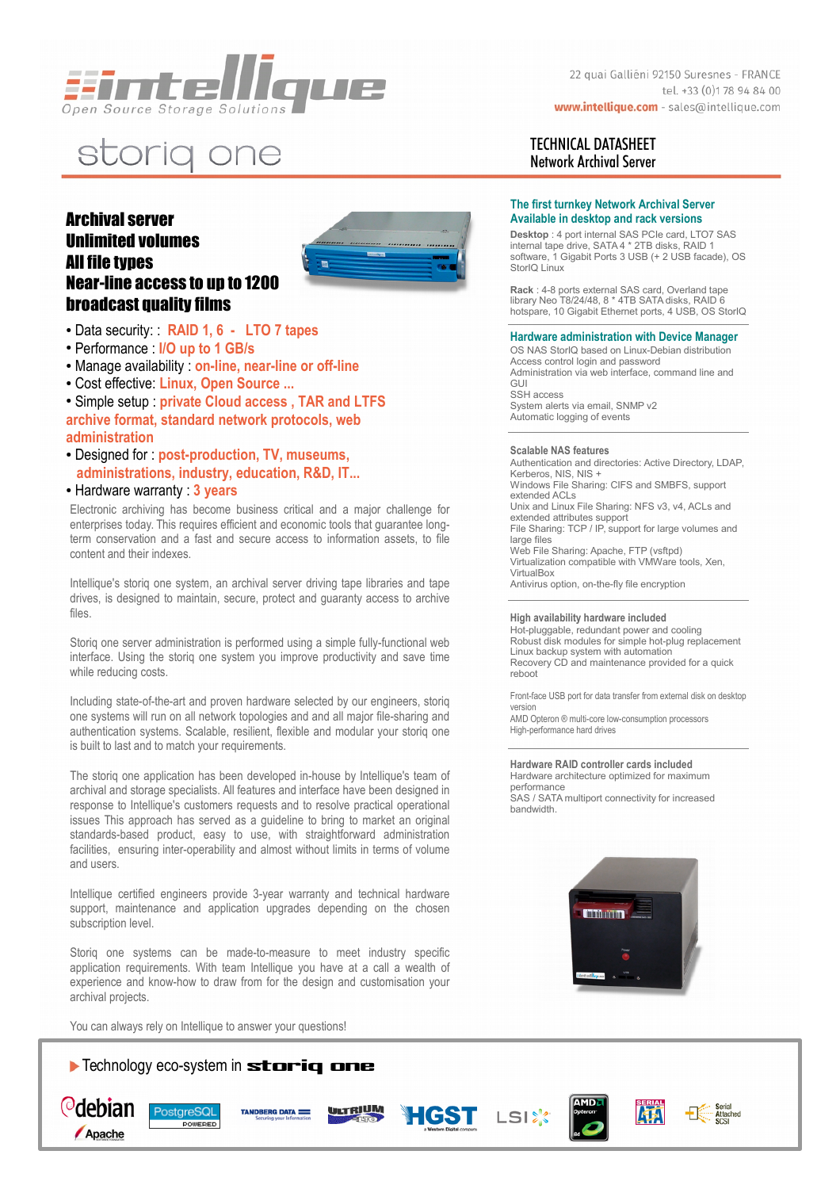

# storig one

## Archival server Unlimited volumes All file types Near-line access to up to 1200 broadcast quality films



- Performance : **I/O up to 1 GB/s**
- Manage availability : **on-line, near-line or off-line**
- Cost effective: **Linux, Open Source ...**

● Simple setup : **private Cloud access , TAR and LTFS** 

**archive format, standard network protocols, web administration** 

- Designed for : **post-production, TV, museums, administrations, industry, education, R&D, IT...**
- Hardware warranty : **3 years**

Electronic archiving has become business critical and a major challenge for enterprises today. This requires efficient and economic tools that guarantee longterm conservation and a fast and secure access to information assets, to file content and their indexes.

Intellique's storiq one system, an archival server driving tape libraries and tape drives, is designed to maintain, secure, protect and guaranty access to archive files.

Storiq one server administration is performed using a simple fully-functional web interface. Using the storiq one system you improve productivity and save time while reducing costs.

Including state-of-the-art and proven hardware selected by our engineers, storiq one systems will run on all network topologies and and all major file-sharing and authentication systems. Scalable, resilient, flexible and modular your storiq one is built to last and to match your requirements.

The storiq one application has been developed in-house by Intellique's team of archival and storage specialists. All features and interface have been designed in response to Intellique's customers requests and to resolve practical operational issues This approach has served as a guideline to bring to market an original standards-based product, easy to use, with straightforward administration facilities, ensuring inter-operability and almost without limits in terms of volume and users.

Intellique certified engineers provide 3-year warranty and technical hardware support, maintenance and application upgrades depending on the chosen subscription level.

Storiq one systems can be made-to-measure to meet industry specific application requirements. With team Intellique you have at a call a wealth of experience and know-how to draw from for the design and customisation your archival projects.

You can always rely on Intellique to answer your questions!



22 quai Galliéni 92150 Suresnes - FRANCE tel. +33 (0)178 94 84 00 www.intellique.com - sales@intellique.com

### TECHNICAL DATASHEET Network Archival Server

#### **The first turnkey Network Archival Server Available in desktop and rack versions**

**Desktop** : 4 port internal SAS PCIe card, LTO7 SAS internal tape drive, SATA 4 \* 2TB disks, RAID 1 software, 1 Gigabit Ports 3 USB (+ 2 USB facade), OS StorIQ Linux

**Rack** : 4-8 ports external SAS card, Overland tape library Neo T8/24/48, 8 \* 4TB SATA disks, RAID 6 hotspare, 10 Gigabit Ethernet ports, 4 USB, OS StorIQ

#### **Hardware administration with Device Manager**

OS NAS StorIQ based on Linux-Debian distribution Access control login and password Administration via web interface, command line and GUI SSH access System alerts via email, SNMP v2 Automatic logging of events

#### **Scalable NAS features**

Authentication and directories: Active Directory, LDAP, Kerberos, NIS, NIS + Windows File Sharing: CIFS and SMBFS, support extended ACLs Unix and Linux File Sharing: NFS v3, v4, ACLs and extended attributes support File Sharing: TCP / IP, support for large volumes and large files Web File Sharing: Apache, FTP (vsftpd) Virtualization compatible with VMWare tools, Xen, VirtualBox Antivirus option, on-the-fly file encryption

#### **High availability hardware included**

Hot-pluggable, redundant power and cooling Robust disk modules for simple hot-plug replacement Linux backup system with automation Recovery CD and maintenance provided for a quick reboot

Front-face USB port for data transfer from external disk on desktop version

AMD Opteron ® multi-core low-consumption processors High-performance hard drives

#### **Hardware RAID controller cards included** Hardware architecture optimized for maximum

performance SAS / SATA multiport connectivity for increased bandwidth.